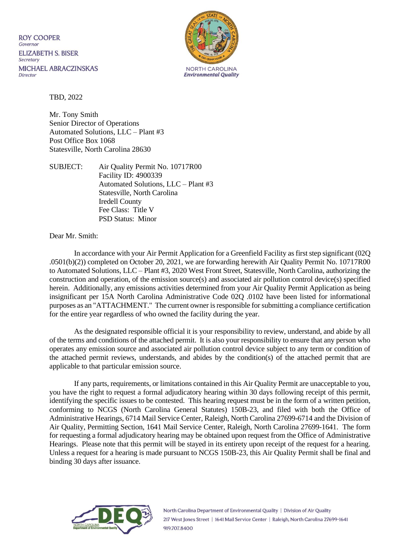**ROY COOPER** Governor **ELIZABETH S. BISER** Secretary MICHAEL ABRACZINSKAS Director



TBD, 2022

Mr. Tony Smith Senior Director of Operations Automated Solutions, LLC – Plant #3 Post Office Box 1068 Statesville, North Carolina 28630

SUBJECT: Air Quality Permit No. 10717R00 Facility ID: 4900339 Automated Solutions, LLC – Plant #3 Statesville, North Carolina Iredell County Fee Class: Title V PSD Status: Minor

Dear Mr. Smith:

In accordance with your Air Permit Application for a Greenfield Facility as first step significant (02Q .0501(b)(2)) completed on October 20, 2021, we are forwarding herewith Air Quality Permit No. 10717R00 to Automated Solutions, LLC – Plant #3, 2020 West Front Street, Statesville, North Carolina, authorizing the construction and operation, of the emission source(s) and associated air pollution control device(s) specified herein. Additionally, any emissions activities determined from your Air Quality Permit Application as being insignificant per 15A North Carolina Administrative Code 02Q .0102 have been listed for informational purposes as an "ATTACHMENT." The current owner is responsible for submitting a compliance certification for the entire year regardless of who owned the facility during the year.

As the designated responsible official it is your responsibility to review, understand, and abide by all of the terms and conditions of the attached permit. It is also your responsibility to ensure that any person who operates any emission source and associated air pollution control device subject to any term or condition of the attached permit reviews, understands, and abides by the condition(s) of the attached permit that are applicable to that particular emission source.

If any parts, requirements, or limitations contained in this Air Quality Permit are unacceptable to you, you have the right to request a formal adjudicatory hearing within 30 days following receipt of this permit, identifying the specific issues to be contested. This hearing request must be in the form of a written petition, conforming to NCGS (North Carolina General Statutes) 150B-23, and filed with both the Office of Administrative Hearings, 6714 Mail Service Center, Raleigh, North Carolina 27699-6714 and the Division of Air Quality, Permitting Section, 1641 Mail Service Center, Raleigh, North Carolina 27699-1641. The form for requesting a formal adjudicatory hearing may be obtained upon request from the Office of Administrative Hearings. Please note that this permit will be stayed in its entirety upon receipt of the request for a hearing. Unless a request for a hearing is made pursuant to NCGS 150B-23, this Air Quality Permit shall be final and binding 30 days after issuance.



North Carolina Department of Environmental Quality | Division of Air Quality 217 West Jones Street | 1641 Mail Service Center | Raleigh, North Carolina 27699-1641 919.707.8400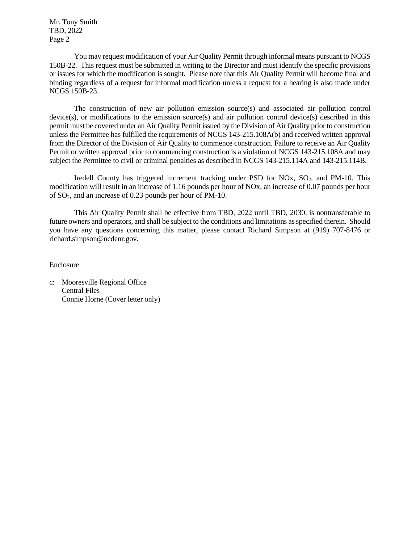Mr. Tony Smith TBD, 2022 Page 2

You may request modification of your Air Quality Permit through informal means pursuant to NCGS 150B-22. This request must be submitted in writing to the Director and must identify the specific provisions or issues for which the modification is sought. Please note that this Air Quality Permit will become final and binding regardless of a request for informal modification unless a request for a hearing is also made under NCGS 150B-23.

The construction of new air pollution emission source(s) and associated air pollution control device(s), or modifications to the emission source(s) and air pollution control device(s) described in this permit must be covered under an Air Quality Permit issued by the Division of Air Quality prior to construction unless the Permittee has fulfilled the requirements of NCGS 143-215.108A(b) and received written approval from the Director of the Division of Air Quality to commence construction. Failure to receive an Air Quality Permit or written approval prior to commencing construction is a violation of NCGS 143-215.108A and may subject the Permittee to civil or criminal penalties as described in NCGS 143-215.114A and 143-215.114B.

Iredell County has triggered increment tracking under PSD for NOx,  $SO<sub>2</sub>$ , and PM-10. This modification will result in an increase of 1.16 pounds per hour of NOx, an increase of 0.07 pounds per hour of SO2, and an increase of 0.23 pounds per hour of PM-10.

This Air Quality Permit shall be effective from TBD, 2022 until TBD, 2030, is nontransferable to future owners and operators, and shall be subject to the conditions and limitations as specified therein. Should you have any questions concerning this matter, please contact Richard Simpson at (919) 707-8476 or richard.simpson@ncdenr.gov.

Enclosure

c: Mooresville Regional Office Central Files Connie Horne (Cover letter only)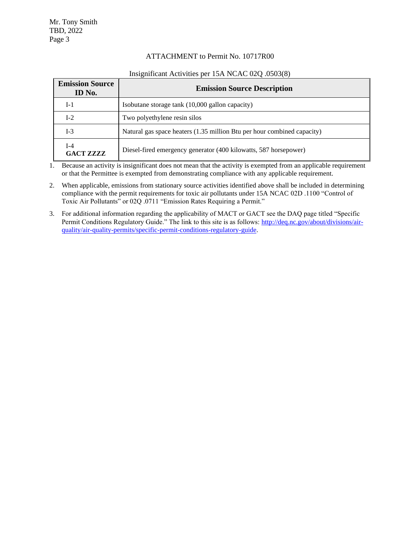#### ATTACHMENT to Permit No. 10717R00

| <b>Emission Source</b><br>ID No. | <b>Emission Source Description</b>                                      |  |
|----------------------------------|-------------------------------------------------------------------------|--|
| $I-1$                            | Isobutane storage tank (10,000 gallon capacity)                         |  |
| $I-2$                            | Two polyethylene resin silos                                            |  |
| $I-3$                            | Natural gas space heaters (1.35 million Btu per hour combined capacity) |  |
| $I-4$<br><b>GACT ZZZZ</b>        | Diesel-fired emergency generator (400 kilowatts, 587 horsepower)        |  |

#### Insignificant Activities per 15A NCAC 02Q .0503(8)

1. Because an activity is insignificant does not mean that the activity is exempted from an applicable requirement or that the Permittee is exempted from demonstrating compliance with any applicable requirement.

- 2. When applicable, emissions from stationary source activities identified above shall be included in determining compliance with the permit requirements for toxic air pollutants under 15A NCAC 02D .1100 "Control of Toxic Air Pollutants" or 02Q .0711 "Emission Rates Requiring a Permit."
- 3. For additional information regarding the applicability of MACT or GACT see the DAQ page titled "Specific Permit Conditions Regulatory Guide." The link to this site is as follows: [http://deq.nc.gov/about/divisions/air](http://deq.nc.gov/about/divisions/air-quality/air-quality-permits/specific-permit-conditions-regulatory-guide)[quality/air-quality-permits/specific-permit-conditions-regulatory-guide.](http://deq.nc.gov/about/divisions/air-quality/air-quality-permits/specific-permit-conditions-regulatory-guide)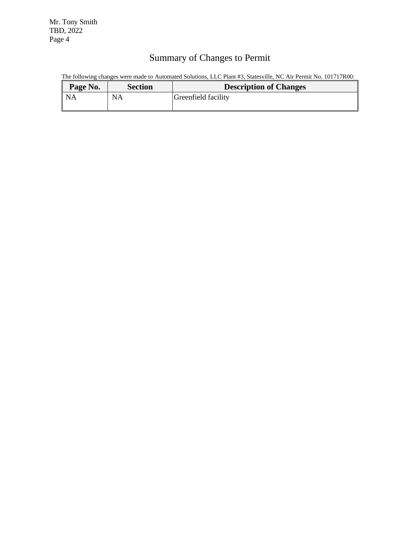Mr. Tony Smith TBD, 2022 Page 4

# Summary of Changes to Permit

The following changes were made to Automated Solutions, LLC Plant #3, Statesville, NC Air Permit No. 101717R00:

| <b>Description of Changes</b> |
|-------------------------------|
| Greenfield facility           |
|                               |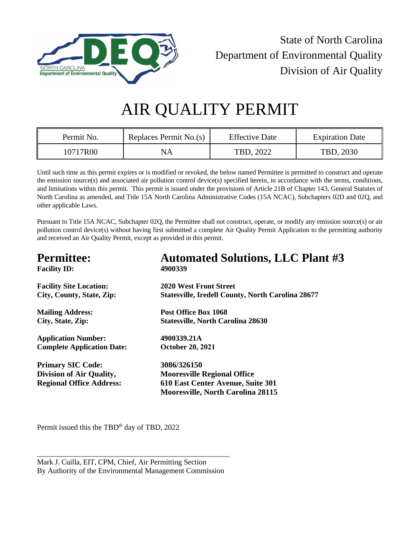

State of North Carolina Department of Environmental Quality Division of Air Quality

# AIR QUALITY PERMIT

| Permit No. | Replaces Permit No.(s) | <b>Effective Date</b> | <b>Expiration Date</b> |
|------------|------------------------|-----------------------|------------------------|
| 10717R00   | NA                     | TBD, 2022             | TBD, 2030              |

Until such time as this permit expires or is modified or revoked, the below named Permittee is permitted to construct and operate the emission source(s) and associated air pollution control device(s) specified herein, in accordance with the terms, conditions, and limitations within this permit. This permit is issued under the provisions of Article 21B of Chapter 143, General Statutes of North Carolina as amended, and Title 15A North Carolina Administrative Codes (15A NCAC), Subchapters 02D and 02Q, and other applicable Laws.

Pursuant to Title 15A NCAC, Subchapter 02Q, the Permittee shall not construct, operate, or modify any emission source(s) or air pollution control device(s) without having first submitted a complete Air Quality Permit Application to the permitting authority and received an Air Quality Permit, except as provided in this permit.

| <b>Permittee:</b>                 | <b>Automated Solutions, LLC Plant #3</b>                 |
|-----------------------------------|----------------------------------------------------------|
| <b>Facility ID:</b>               | 4900339                                                  |
| <b>Facility Site Location:</b>    | <b>2020 West Front Street</b>                            |
| City, County, State, Zip:         | <b>Statesville, Iredell County, North Carolina 28677</b> |
| <b>Mailing Address:</b>           | Post Office Box 1068                                     |
| City, State, Zip:                 | <b>Statesville, North Carolina 28630</b>                 |
| <b>Application Number:</b>        | 4900339.21A                                              |
| <b>Complete Application Date:</b> | <b>October 20, 2021</b>                                  |
| <b>Primary SIC Code:</b>          | 3086/326150                                              |
| <b>Division of Air Quality,</b>   | <b>Mooresville Regional Office</b>                       |
| <b>Regional Office Address:</b>   | 610 East Center Avenue, Suite 301                        |
|                                   | <b>Mooresville, North Carolina 28115</b>                 |
|                                   |                                                          |

Permit issued this the TBD<sup>th</sup> day of TBD, 2022

\_\_\_\_\_\_\_\_\_\_\_\_\_\_\_\_\_\_\_\_\_\_\_\_\_\_\_\_\_\_\_\_\_\_\_\_\_\_\_\_\_\_\_\_\_\_\_\_\_\_\_

Mark J. Cuilla, EIT, CPM, Chief, Air Permitting Section By Authority of the Environmental Management Commission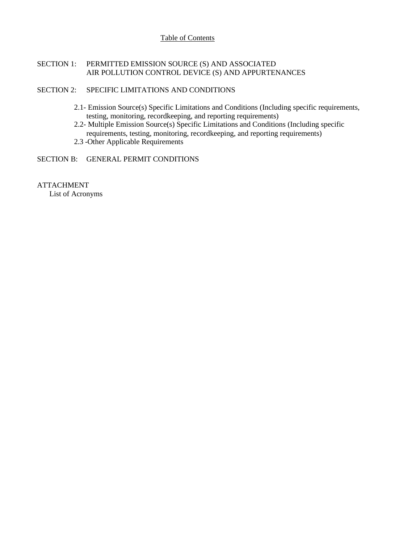#### Table of Contents

#### SECTION 1: PERMITTED EMISSION SOURCE (S) AND ASSOCIATED AIR POLLUTION CONTROL DEVICE (S) AND APPURTENANCES

#### SECTION 2: SPECIFIC LIMITATIONS AND CONDITIONS

- 2.1- Emission Source(s) Specific Limitations and Conditions (Including specific requirements, testing, monitoring, recordkeeping, and reporting requirements)
- 2.2- Multiple Emission Source(s) Specific Limitations and Conditions (Including specific requirements, testing, monitoring, recordkeeping, and reporting requirements)
- 2.3 -Other Applicable Requirements

#### SECTION B: GENERAL PERMIT CONDITIONS

#### ATTACHMENT

List of Acronyms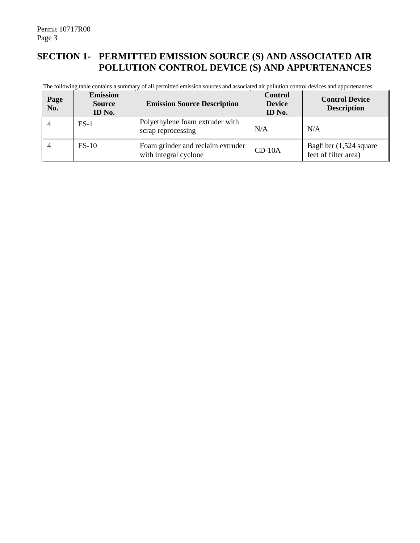## **SECTION 1- PERMITTED EMISSION SOURCE (S) AND ASSOCIATED AIR POLLUTION CONTROL DEVICE (S) AND APPURTENANCES**

The following table contains a summary of all permitted emission sources and associated air pollution control devices and appurtenances:

| Page<br>No. | <b>Emission</b><br><b>Source</b><br>ID No. | <b>Emission Source Description</b>                         | <b>Control</b><br><b>Device</b><br>ID No. | <b>Control Device</b><br><b>Description</b>     |
|-------------|--------------------------------------------|------------------------------------------------------------|-------------------------------------------|-------------------------------------------------|
|             | $ES-1$                                     | Polyethylene foam extruder with<br>scrap reprocessing      | N/A                                       | N/A                                             |
|             | $ES-10$                                    | Foam grinder and reclaim extruder<br>with integral cyclone | $CD-10A$                                  | Bagfilter (1,524 square<br>feet of filter area) |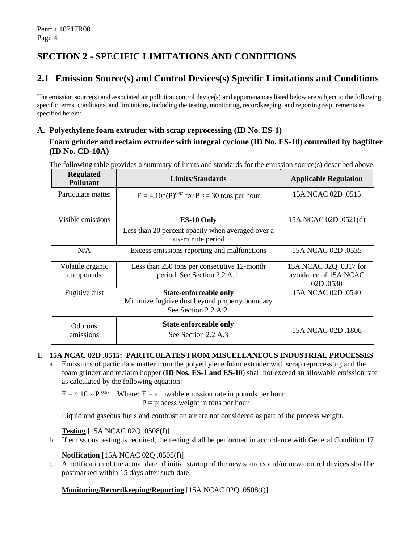# **SECTION 2 - SPECIFIC LIMITATIONS AND CONDITIONS**

## **2.1 Emission Source(s) and Control Devices(s) Specific Limitations and Conditions**

The emission source(s) and associated air pollution control device(s) and appurtenances listed below are subject to the following specific terms, conditions, and limitations, including the testing, monitoring, recordkeeping, and reporting requirements as specified herein:

## **A. Polyethylene foam extruder with scrap reprocessing (ID No. ES-1) Foam grinder and reclaim extruder with integral cyclone (ID No. ES-10) controlled by bagfilter (ID No. CD-10A)**

The following table provides a summary of limits and standards for the emission source(s) described above:

| <b>Regulated</b><br><b>Pollutant</b> | Limits/Standards                                                                                         | <b>Applicable Regulation</b>                                |
|--------------------------------------|----------------------------------------------------------------------------------------------------------|-------------------------------------------------------------|
| Particulate matter                   | $E = 4.10*(P)^{0.67}$ for $P \le 30$ tons per hour                                                       | 15A NCAC 02D .0515                                          |
| Visible emissions                    | <b>ES-10 Only</b><br>Less than 20 percent opacity when averaged over a<br>six-minute period              | 15A NCAC 02D .0521(d)                                       |
| N/A                                  | Excess emissions reporting and malfunctions                                                              | 15A NCAC 02D .0535                                          |
| Volatile organic<br>compounds        | Less than 250 tons per consecutive 12-month<br>period, See Section 2.2 A.1.                              | 15A NCAC 02Q .0317 for<br>avoidance of 15A NCAC<br>02D.0530 |
| Fugitive dust                        | <b>State-enforceable only</b><br>Minimize fugitive dust beyond property boundary<br>See Section 2.2 A.2. | 15A NCAC 02D .0540                                          |
| <b>Odorous</b><br>emissions          | <b>State enforceable only</b><br>See Section 2.2 A.3                                                     | 15A NCAC 02D .1806                                          |

#### **1. 15A NCAC 02D .0515: PARTICULATES FROM MISCELLANEOUS INDUSTRIAL PROCESSES**

a. Emissions of particulate matter from the polyethylene foam extruder with scrap reprocessing and the foam grinder and reclaim hopper (**ID Nos. ES-1 and ES-10**) shall not exceed an allowable emission rate as calculated by the following equation:

 $E = 4.10 \times P^{0.67}$  Where:  $E =$  allowable emission rate in pounds per hour  $P =$  process weight in tons per hour

Liquid and gaseous fuels and combustion air are not considered as part of the process weight.

**Testing** [15A NCAC 02Q .0508(f)]

b. If emissions testing is required, the testing shall be performed in accordance with General Condition 17.

#### **Notification** [15A NCAC 02Q .0508(f)]

c. A notification of the actual date of initial startup of the new sources and/or new control devices shall be postmarked within 15 days after such date.

#### **Monitoring/Recordkeeping/Reporting** [15A NCAC 02Q .0508(f)]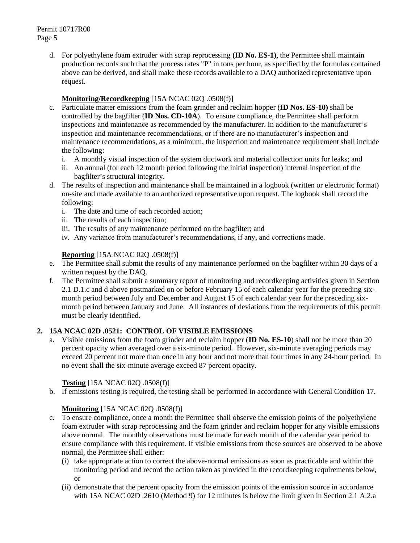Permit 10717R00 Page 5

> d. For polyethylene foam extruder with scrap reprocessing **(ID No. ES-1)**, the Permittee shall maintain production records such that the process rates "P" in tons per hour, as specified by the formulas contained above can be derived, and shall make these records available to a DAQ authorized representative upon request.

#### **Monitoring/Recordkeeping** [15A NCAC 02Q .0508(f)]

- c. Particulate matter emissions from the foam grinder and reclaim hopper (**ID Nos. ES-10)** shall be controlled by the bagfilter (**ID Nos. CD-10A**). To ensure compliance, the Permittee shall perform inspections and maintenance as recommended by the manufacturer. In addition to the manufacturer's inspection and maintenance recommendations, or if there are no manufacturer's inspection and maintenance recommendations, as a minimum, the inspection and maintenance requirement shall include the following:
	- i. A monthly visual inspection of the system ductwork and material collection units for leaks; and
	- ii. An annual (for each 12 month period following the initial inspection) internal inspection of the bagfilter's structural integrity.
- d. The results of inspection and maintenance shall be maintained in a logbook (written or electronic format) on-site and made available to an authorized representative upon request. The logbook shall record the following:
	- i. The date and time of each recorded action;
	- ii. The results of each inspection;
	- iii. The results of any maintenance performed on the bagfilter; and
	- iv. Any variance from manufacturer's recommendations, if any, and corrections made.

#### **Reporting** [15A NCAC 02Q .0508(f)]

- e. The Permittee shall submit the results of any maintenance performed on the bagfilter within 30 days of a written request by the DAQ.
- f. The Permittee shall submit a summary report of monitoring and recordkeeping activities given in Section 2.1 D.1.c and d above postmarked on or before February 15 of each calendar year for the preceding sixmonth period between July and December and August 15 of each calendar year for the preceding sixmonth period between January and June. All instances of deviations from the requirements of this permit must be clearly identified.

#### **2. 15A NCAC 02D .0521: CONTROL OF VISIBLE EMISSIONS**

a. Visible emissions from the foam grinder and reclaim hopper (**ID No. ES-10**) shall not be more than 20 percent opacity when averaged over a six-minute period. However, six-minute averaging periods may exceed 20 percent not more than once in any hour and not more than four times in any 24-hour period. In no event shall the six-minute average exceed 87 percent opacity.

#### **Testing** [15A NCAC 02Q .0508(f)]

b. If emissions testing is required, the testing shall be performed in accordance with General Condition 17.

### **Monitoring** [15A NCAC 02O .0508(f)]

- c. To ensure compliance, once a month the Permittee shall observe the emission points of the polyethylene foam extruder with scrap reprocessing and the foam grinder and reclaim hopper for any visible emissions above normal. The monthly observations must be made for each month of the calendar year period to ensure compliance with this requirement. If visible emissions from these sources are observed to be above normal, the Permittee shall either:
	- (i) take appropriate action to correct the above-normal emissions as soon as practicable and within the monitoring period and record the action taken as provided in the recordkeeping requirements below, or
	- (ii) demonstrate that the percent opacity from the emission points of the emission source in accordance with 15A NCAC 02D .2610 (Method 9) for 12 minutes is below the limit given in Section 2.1 A.2.a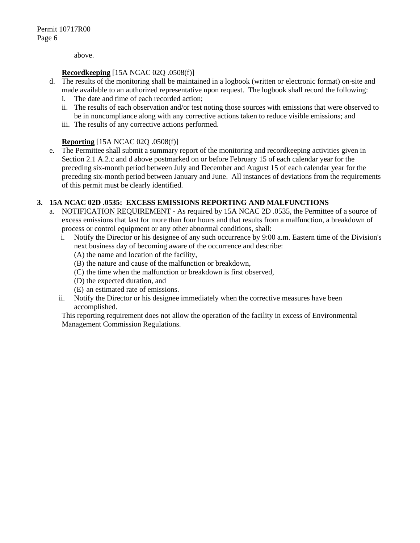above.

#### **Recordkeeping** [15A NCAC 02Q .0508(f)]

- d. The results of the monitoring shall be maintained in a logbook (written or electronic format) on-site and made available to an authorized representative upon request. The logbook shall record the following:
	- i. The date and time of each recorded action;
	- ii. The results of each observation and/or test noting those sources with emissions that were observed to be in noncompliance along with any corrective actions taken to reduce visible emissions; and
	- iii. The results of any corrective actions performed.

#### **Reporting** [15A NCAC 02Q .0508(f)]

e. The Permittee shall submit a summary report of the monitoring and recordkeeping activities given in Section 2.1 A.2.c and d above postmarked on or before February 15 of each calendar year for the preceding six-month period between July and December and August 15 of each calendar year for the preceding six-month period between January and June. All instances of deviations from the requirements of this permit must be clearly identified.

#### **3. 15A NCAC 02D .0535: EXCESS EMISSIONS REPORTING AND MALFUNCTIONS**

- a. NOTIFICATION REQUIREMENT As required by 15A NCAC 2D .0535, the Permittee of a source of excess emissions that last for more than four hours and that results from a malfunction, a breakdown of process or control equipment or any other abnormal conditions, shall:
	- i. Notify the Director or his designee of any such occurrence by 9:00 a.m. Eastern time of the Division's next business day of becoming aware of the occurrence and describe:
		- (A) the name and location of the facility,
		- (B) the nature and cause of the malfunction or breakdown,
		- (C) the time when the malfunction or breakdown is first observed,
		- (D) the expected duration, and
		- (E) an estimated rate of emissions.
	- ii. Notify the Director or his designee immediately when the corrective measures have been accomplished.

This reporting requirement does not allow the operation of the facility in excess of Environmental Management Commission Regulations.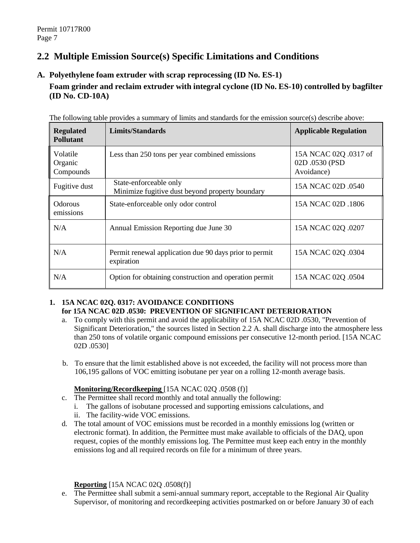## **2.2 Multiple Emission Source(s) Specific Limitations and Conditions**

**A. Polyethylene foam extruder with scrap reprocessing (ID No. ES-1)**

## **Foam grinder and reclaim extruder with integral cyclone (ID No. ES-10) controlled by bagfilter (ID No. CD-10A)**

| <b>Regulated</b><br><b>Pollutant</b> | <b>Limits/Standards</b>                                                   | <b>Applicable Regulation</b>                          |
|--------------------------------------|---------------------------------------------------------------------------|-------------------------------------------------------|
| Volatile<br>Organic<br>Compounds     | Less than 250 tons per year combined emissions                            | 15A NCAC 02Q .0317 of<br>02D .0530 (PSD<br>Avoidance) |
| Fugitive dust                        | State-enforceable only<br>Minimize fugitive dust beyond property boundary | 15A NCAC 02D .0540                                    |
| Odorous<br>emissions                 | State-enforceable only odor control                                       | 15A NCAC 02D .1806                                    |
| N/A                                  | Annual Emission Reporting due June 30                                     | 15A NCAC 02Q .0207                                    |
| N/A                                  | Permit renewal application due 90 days prior to permit<br>expiration      | 15A NCAC 02Q .0304                                    |
| N/A                                  | Option for obtaining construction and operation permit                    | 15A NCAC 02Q .0504                                    |

The following table provides a summary of limits and standards for the emission source(s) describe above:

#### **1. 15A NCAC 02Q. 0317: AVOIDANCE CONDITIONS for 15A NCAC 02D .0530: PREVENTION OF SIGNIFICANT DETERIORATION**

- a. To comply with this permit and avoid the applicability of 15A NCAC 02D .0530, "Prevention of Significant Deterioration," the sources listed in Section 2.2 A. shall discharge into the atmosphere less than 250 tons of volatile organic compound emissions per consecutive 12-month period. [15A NCAC 02D .0530]
- b. To ensure that the limit established above is not exceeded, the facility will not process more than 106,195 gallons of VOC emitting isobutane per year on a rolling 12-month average basis.

#### **Monitoring/Recordkeeping** [15A NCAC 02Q .0508 (f)]

- c. The Permittee shall record monthly and total annually the following:
	- i. The gallons of isobutane processed and supporting emissions calculations, and
	- ii. The facility-wide VOC emissions.
- d. The total amount of VOC emissions must be recorded in a monthly emissions log (written or electronic format). In addition, the Permittee must make available to officials of the DAQ, upon request, copies of the monthly emissions log. The Permittee must keep each entry in the monthly emissions log and all required records on file for a minimum of three years.

#### **Reporting** [15A NCAC 02Q .0508(f)]

e. The Permittee shall submit a semi-annual summary report, acceptable to the Regional Air Quality Supervisor, of monitoring and recordkeeping activities postmarked on or before January 30 of each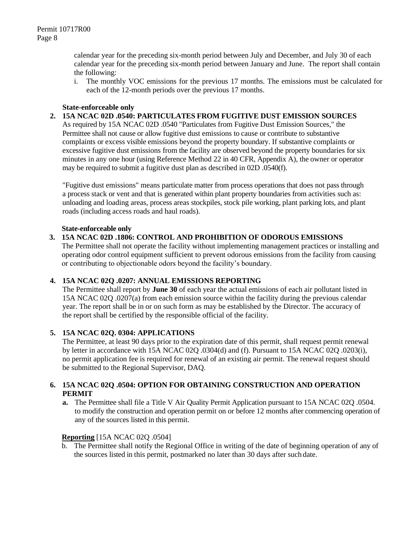calendar year for the preceding six-month period between July and December, and July 30 of each calendar year for the preceding six-month period between January and June. The report shall contain the following:

i. The monthly VOC emissions for the previous 17 months. The emissions must be calculated for each of the 12-month periods over the previous 17 months.

#### **State-enforceable only**

**2. 15A NCAC 02D .0540: PARTICULATES FROM FUGITIVE DUST EMISSION SOURCES**

As required by 15A NCAC 02D .0540 "Particulates from Fugitive Dust Emission Sources," the Permittee shall not cause or allow fugitive dust emissions to cause or contribute to substantive complaints or excess visible emissions beyond the property boundary. If substantive complaints or excessive fugitive dust emissions from the facility are observed beyond the property boundaries for six minutes in any one hour (using Reference Method 22 in 40 CFR, Appendix A), the owner or operator may be required to submit a fugitive dust plan as described in 02D .0540(f).

"Fugitive dust emissions" means particulate matter from process operations that does not pass through a process stack or vent and that is generated within plant property boundaries from activities such as: unloading and loading areas, process areas stockpiles, stock pile working, plant parking lots, and plant roads (including access roads and haul roads).

#### **State-enforceable only**

#### **3. 15A NCAC 02D .1806: CONTROL AND PROHIBITION OF ODOROUS EMISSIONS**

The Permittee shall not operate the facility without implementing management practices or installing and operating odor control equipment sufficient to prevent odorous emissions from the facility from causing or contributing to objectionable odors beyond the facility's boundary.

#### **4. 15A NCAC 02Q .0207: ANNUAL EMISSIONS REPORTING**

The Permittee shall report by **June 30** of each year the actual emissions of each air pollutant listed in 15A NCAC 02Q .0207(a) from each emission source within the facility during the previous calendar year. The report shall be in or on such form as may be established by the Director. The accuracy of the report shall be certified by the responsible official of the facility.

#### **5. 15A NCAC 02Q. 0304: APPLICATIONS**

The Permittee, at least 90 days prior to the expiration date of this permit, shall request permit renewal by letter in accordance with 15A NCAC 02Q .0304(d) and (f). Pursuant to 15A NCAC 02Q .0203(i), no permit application fee is required for renewal of an existing air permit. The renewal request should be submitted to the Regional Supervisor, DAQ.

#### **6. 15A NCAC 02Q .0504: OPTION FOR OBTAINING CONSTRUCTION AND OPERATION PERMIT**

**a.** The Permittee shall file a Title V Air Quality Permit Application pursuant to 15A NCAC 02Q .0504. to modify the construction and operation permit on or before 12 months after commencing operation of any of the sources listed in this permit.

#### **Reporting** [15A NCAC 02Q .0504]

b. The Permittee shall notify the Regional Office in writing of the date of beginning operation of any of the sources listed in this permit, postmarked no later than 30 days after such date.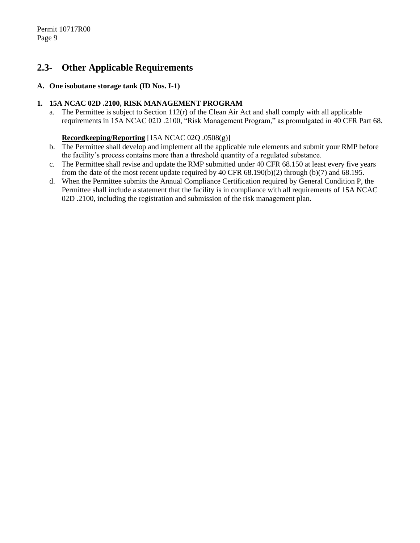## **2.3- Other Applicable Requirements**

#### **A. One isobutane storage tank (ID Nos. I-1)**

#### **1. 15A NCAC 02D .2100, RISK MANAGEMENT PROGRAM**

a. The Permittee is subject to Section 112(r) of the Clean Air Act and shall comply with all applicable requirements in 15A NCAC 02D .2100, "Risk Management Program," as promulgated in 40 CFR Part 68.

#### **Recordkeeping/Reporting** [15A NCAC 02Q .0508(g)]

- b. The Permittee shall develop and implement all the applicable rule elements and submit your RMP before the facility's process contains more than a threshold quantity of a regulated substance.
- c. The Permittee shall revise and update the RMP submitted under 40 CFR 68.150 at least every five years from the date of the most recent update required by 40 CFR 68.190(b)(2) through (b)(7) and 68.195.
- d. When the Permittee submits the Annual Compliance Certification required by General Condition P, the Permittee shall include a statement that the facility is in compliance with all requirements of 15A NCAC 02D .2100, including the registration and submission of the risk management plan.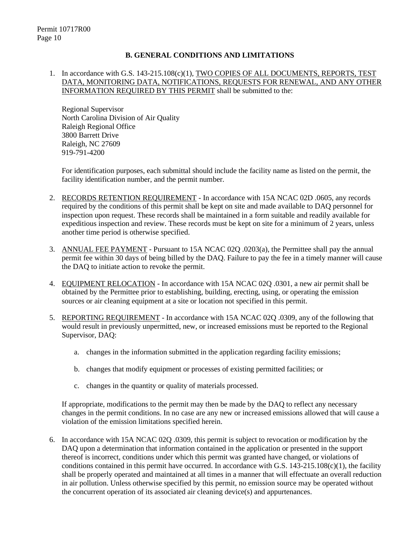#### **B. GENERAL CONDITIONS AND LIMITATIONS**

#### 1. In accordance with G.S. 143-215.108(c)(1), TWO COPIES OF ALL DOCUMENTS, REPORTS, TEST DATA, MONITORING DATA, NOTIFICATIONS, REQUESTS FOR RENEWAL, AND ANY OTHER INFORMATION REQUIRED BY THIS PERMIT shall be submitted to the:

Regional Supervisor North Carolina Division of Air Quality Raleigh Regional Office 3800 Barrett Drive Raleigh, NC 27609 919-791-4200

For identification purposes, each submittal should include the facility name as listed on the permit, the facility identification number, and the permit number.

- 2. RECORDS RETENTION REQUIREMENT In accordance with 15A NCAC 02D .0605, any records required by the conditions of this permit shall be kept on site and made available to DAQ personnel for inspection upon request. These records shall be maintained in a form suitable and readily available for expeditious inspection and review. These records must be kept on site for a minimum of 2 years, unless another time period is otherwise specified.
- 3. ANNUAL FEE PAYMENT Pursuant to 15A NCAC 02Q .0203(a), the Permittee shall pay the annual permit fee within 30 days of being billed by the DAQ. Failure to pay the fee in a timely manner will cause the DAQ to initiate action to revoke the permit.
- 4. EQUIPMENT RELOCATION In accordance with 15A NCAC 02Q .0301, a new air permit shall be obtained by the Permittee prior to establishing, building, erecting, using, or operating the emission sources or air cleaning equipment at a site or location not specified in this permit.
- 5. REPORTING REQUIREMENT In accordance with 15A NCAC 02Q .0309, any of the following that would result in previously unpermitted, new, or increased emissions must be reported to the Regional Supervisor, DAQ:
	- a. changes in the information submitted in the application regarding facility emissions;
	- b. changes that modify equipment or processes of existing permitted facilities; or
	- c. changes in the quantity or quality of materials processed.

If appropriate, modifications to the permit may then be made by the DAQ to reflect any necessary changes in the permit conditions. In no case are any new or increased emissions allowed that will cause a violation of the emission limitations specified herein.

6. In accordance with 15A NCAC 02Q .0309, this permit is subject to revocation or modification by the DAQ upon a determination that information contained in the application or presented in the support thereof is incorrect, conditions under which this permit was granted have changed, or violations of conditions contained in this permit have occurred. In accordance with G.S. 143-215.108(c)(1), the facility shall be properly operated and maintained at all times in a manner that will effectuate an overall reduction in air pollution. Unless otherwise specified by this permit, no emission source may be operated without the concurrent operation of its associated air cleaning device(s) and appurtenances.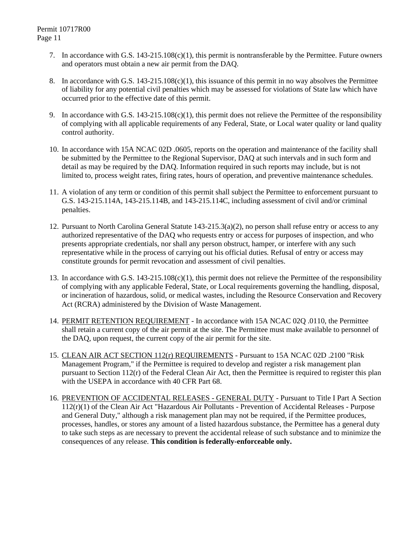- 7. In accordance with G.S. 143-215.108(c)(1), this permit is nontransferable by the Permittee. Future owners and operators must obtain a new air permit from the DAQ.
- 8. In accordance with G.S. 143-215.108(c)(1), this issuance of this permit in no way absolves the Permittee of liability for any potential civil penalties which may be assessed for violations of State law which have occurred prior to the effective date of this permit.
- 9. In accordance with G.S. 143-215.108(c)(1), this permit does not relieve the Permittee of the responsibility of complying with all applicable requirements of any Federal, State, or Local water quality or land quality control authority.
- 10. In accordance with 15A NCAC 02D .0605, reports on the operation and maintenance of the facility shall be submitted by the Permittee to the Regional Supervisor, DAQ at such intervals and in such form and detail as may be required by the DAQ. Information required in such reports may include, but is not limited to, process weight rates, firing rates, hours of operation, and preventive maintenance schedules.
- 11. A violation of any term or condition of this permit shall subject the Permittee to enforcement pursuant to G.S. 143-215.114A, 143-215.114B, and 143-215.114C, including assessment of civil and/or criminal penalties.
- 12. Pursuant to North Carolina General Statute 143-215.3(a)(2), no person shall refuse entry or access to any authorized representative of the DAQ who requests entry or access for purposes of inspection, and who presents appropriate credentials, nor shall any person obstruct, hamper, or interfere with any such representative while in the process of carrying out his official duties. Refusal of entry or access may constitute grounds for permit revocation and assessment of civil penalties.
- 13. In accordance with G.S. 143-215.108(c)(1), this permit does not relieve the Permittee of the responsibility of complying with any applicable Federal, State, or Local requirements governing the handling, disposal, or incineration of hazardous, solid, or medical wastes, including the Resource Conservation and Recovery Act (RCRA) administered by the Division of Waste Management.
- 14. PERMIT RETENTION REQUIREMENT In accordance with 15A NCAC 02Q .0110, the Permittee shall retain a current copy of the air permit at the site. The Permittee must make available to personnel of the DAQ, upon request, the current copy of the air permit for the site.
- 15. CLEAN AIR ACT SECTION 112(r) REQUIREMENTS Pursuant to 15A NCAC 02D .2100 "Risk Management Program," if the Permittee is required to develop and register a risk management plan pursuant to Section 112(r) of the Federal Clean Air Act, then the Permittee is required to register this plan with the USEPA in accordance with 40 CFR Part 68.
- 16. PREVENTION OF ACCIDENTAL RELEASES GENERAL DUTY Pursuant to Title I Part A Section 112(r)(1) of the Clean Air Act "Hazardous Air Pollutants - Prevention of Accidental Releases - Purpose and General Duty," although a risk management plan may not be required, if the Permittee produces, processes, handles, or stores any amount of a listed hazardous substance, the Permittee has a general duty to take such steps as are necessary to prevent the accidental release of such substance and to minimize the consequences of any release. **This condition is federally-enforceable only.**